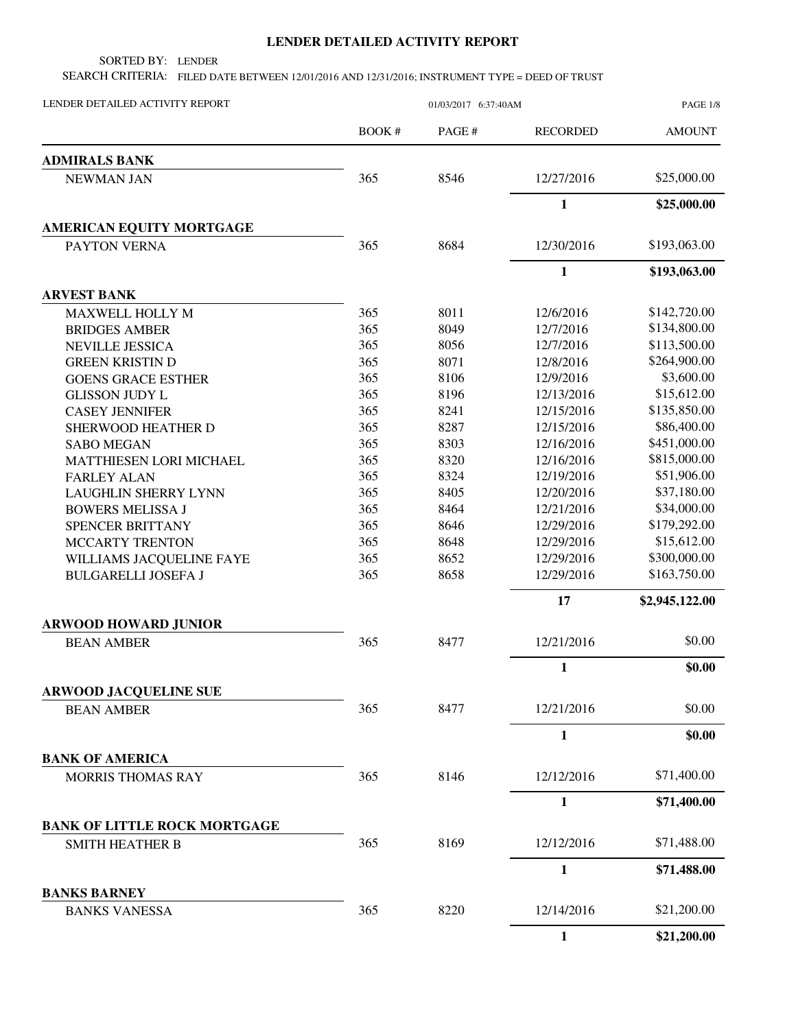## **LENDER DETAILED ACTIVITY REPORT**

SORTED BY: LENDER

SEARCH CRITERIA: FILED DATE BETWEEN 12/01/2016 AND 12/31/2016; INSTRUMENT TYPE = DEED OF TRUST

| LENDER DETAILED ACTIVITY REPORT     | 01/03/2017 6:37:40AM |        |                 | <b>PAGE 1/8</b> |
|-------------------------------------|----------------------|--------|-----------------|-----------------|
|                                     | BOOK #               | PAGE # | <b>RECORDED</b> | <b>AMOUNT</b>   |
| <b>ADMIRALS BANK</b>                |                      |        |                 |                 |
| <b>NEWMAN JAN</b>                   | 365                  | 8546   | 12/27/2016      | \$25,000.00     |
|                                     |                      |        | $\mathbf{1}$    | \$25,000.00     |
| <b>AMERICAN EQUITY MORTGAGE</b>     |                      |        |                 |                 |
| PAYTON VERNA                        | 365                  | 8684   | 12/30/2016      | \$193,063.00    |
|                                     |                      |        | $\mathbf{1}$    | \$193,063.00    |
| <b>ARVEST BANK</b>                  |                      |        |                 |                 |
| <b>MAXWELL HOLLY M</b>              | 365                  | 8011   | 12/6/2016       | \$142,720.00    |
| <b>BRIDGES AMBER</b>                | 365                  | 8049   | 12/7/2016       | \$134,800.00    |
| <b>NEVILLE JESSICA</b>              | 365                  | 8056   | 12/7/2016       | \$113,500.00    |
| <b>GREEN KRISTIN D</b>              | 365                  | 8071   | 12/8/2016       | \$264,900.00    |
| <b>GOENS GRACE ESTHER</b>           | 365                  | 8106   | 12/9/2016       | \$3,600.00      |
| <b>GLISSON JUDY L</b>               | 365                  | 8196   | 12/13/2016      | \$15,612.00     |
| <b>CASEY JENNIFER</b>               | 365                  | 8241   | 12/15/2016      | \$135,850.00    |
| SHERWOOD HEATHER D                  | 365                  | 8287   | 12/15/2016      | \$86,400.00     |
| <b>SABO MEGAN</b>                   | 365                  | 8303   | 12/16/2016      | \$451,000.00    |
| MATTHIESEN LORI MICHAEL             | 365                  | 8320   | 12/16/2016      | \$815,000.00    |
| <b>FARLEY ALAN</b>                  | 365                  | 8324   | 12/19/2016      | \$51,906.00     |
| <b>LAUGHLIN SHERRY LYNN</b>         | 365                  | 8405   | 12/20/2016      | \$37,180.00     |
| <b>BOWERS MELISSA J</b>             | 365                  | 8464   | 12/21/2016      | \$34,000.00     |
| SPENCER BRITTANY                    | 365                  | 8646   | 12/29/2016      | \$179,292.00    |
| MCCARTY TRENTON                     | 365                  | 8648   | 12/29/2016      | \$15,612.00     |
| WILLIAMS JACQUELINE FAYE            | 365                  | 8652   | 12/29/2016      | \$300,000.00    |
| <b>BULGARELLI JOSEFA J</b>          | 365                  | 8658   | 12/29/2016      | \$163,750.00    |
|                                     |                      |        | 17              | \$2,945,122.00  |
| <b>ARWOOD HOWARD JUNIOR</b>         |                      |        |                 |                 |
| <b>BEAN AMBER</b>                   | 365                  | 8477   | 12/21/2016      | \$0.00          |
|                                     |                      |        | $\mathbf{1}$    | \$0.00          |
| <b>ARWOOD JACQUELINE SUE</b>        |                      |        |                 |                 |
| <b>BEAN AMBER</b>                   | 365                  | 8477   | 12/21/2016      | \$0.00          |
|                                     |                      |        | $\mathbf{1}$    | \$0.00          |
| <b>BANK OF AMERICA</b>              |                      |        |                 |                 |
| <b>MORRIS THOMAS RAY</b>            | 365                  | 8146   | 12/12/2016      | \$71,400.00     |
|                                     |                      |        | $\mathbf{1}$    | \$71,400.00     |
| <b>BANK OF LITTLE ROCK MORTGAGE</b> |                      |        |                 |                 |
| <b>SMITH HEATHER B</b>              | 365                  | 8169   | 12/12/2016      | \$71,488.00     |
|                                     |                      |        | 1               | \$71,488.00     |
| <b>BANKS BARNEY</b>                 |                      |        |                 |                 |
| <b>BANKS VANESSA</b>                | 365                  | 8220   | 12/14/2016      | \$21,200.00     |
|                                     |                      |        | $\mathbf{1}$    | \$21,200.00     |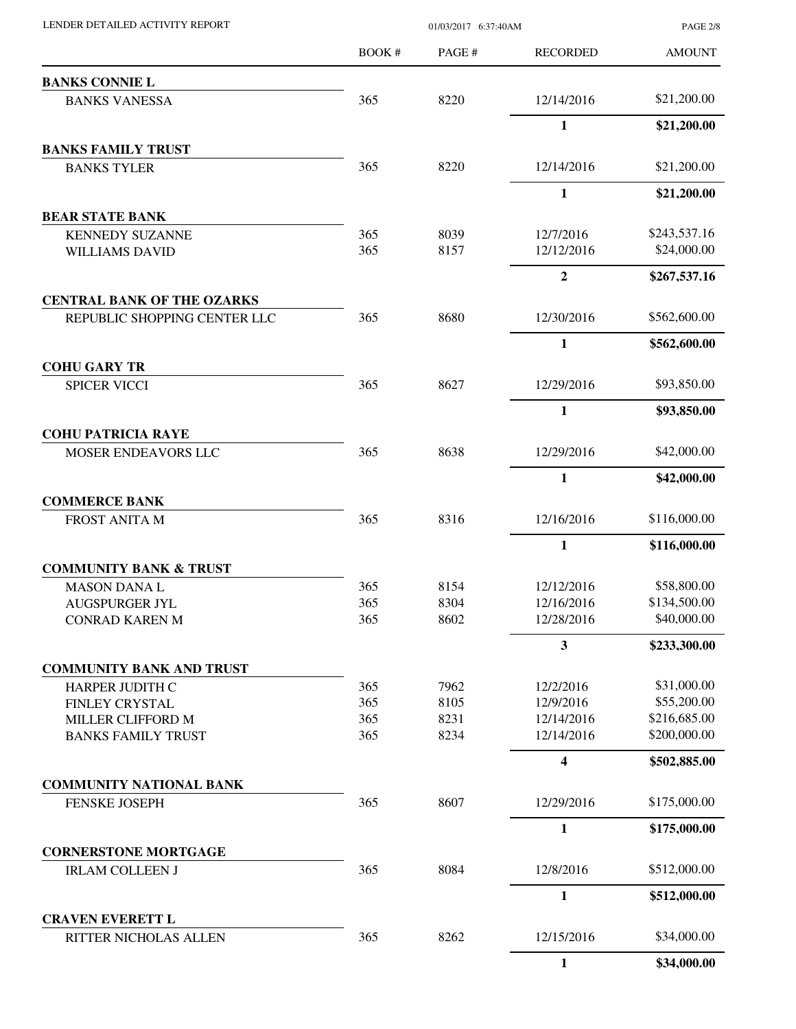|                                                       | BOOK #     | PAGE#        | <b>RECORDED</b>          | <b>AMOUNT</b>                |
|-------------------------------------------------------|------------|--------------|--------------------------|------------------------------|
| <b>BANKS CONNIE L</b>                                 |            |              |                          |                              |
| <b>BANKS VANESSA</b>                                  | 365        | 8220         | 12/14/2016               | \$21,200.00                  |
|                                                       |            |              | 1                        | \$21,200.00                  |
| <b>BANKS FAMILY TRUST</b>                             |            |              |                          |                              |
| <b>BANKS TYLER</b>                                    | 365        | 8220         | 12/14/2016               | \$21,200.00                  |
|                                                       |            |              | 1                        | \$21,200.00                  |
| <b>BEAR STATE BANK</b>                                |            |              |                          |                              |
| <b>KENNEDY SUZANNE</b>                                | 365        | 8039         | 12/7/2016                | \$243,537.16                 |
| <b>WILLIAMS DAVID</b>                                 | 365        | 8157         | 12/12/2016               | \$24,000.00                  |
|                                                       |            |              | $\boldsymbol{2}$         | \$267,537.16                 |
| <b>CENTRAL BANK OF THE OZARKS</b>                     | 365        | 8680         | 12/30/2016               | \$562,600.00                 |
| REPUBLIC SHOPPING CENTER LLC                          |            |              |                          |                              |
| <b>COHU GARY TR</b>                                   |            |              | $\mathbf{1}$             | \$562,600.00                 |
| <b>SPICER VICCI</b>                                   | 365        | 8627         | 12/29/2016               | \$93,850.00                  |
|                                                       |            |              | 1                        | \$93,850.00                  |
| <b>COHU PATRICIA RAYE</b>                             |            |              |                          |                              |
| MOSER ENDEAVORS LLC                                   | 365        | 8638         | 12/29/2016               | \$42,000.00                  |
|                                                       |            |              | 1                        | \$42,000.00                  |
| <b>COMMERCE BANK</b>                                  |            |              |                          |                              |
| <b>FROST ANITA M</b>                                  | 365        | 8316         | 12/16/2016               | \$116,000.00                 |
|                                                       |            |              | $\mathbf{1}$             | \$116,000.00                 |
| <b>COMMUNITY BANK &amp; TRUST</b>                     |            |              |                          |                              |
| <b>MASON DANAL</b>                                    | 365        | 8154         | 12/12/2016               | \$58,800.00                  |
| <b>AUGSPURGER JYL</b>                                 | 365        | 8304         | 12/16/2016               | \$134,500.00                 |
| CONRAD KAREN M                                        | 365        | 8602         | 12/28/2016               | \$40,000.00                  |
|                                                       |            |              | 3                        | \$233,300.00                 |
| <b>COMMUNITY BANK AND TRUST</b>                       |            |              |                          |                              |
| <b>HARPER JUDITH C</b>                                | 365        | 7962         | 12/2/2016                | \$31,000.00                  |
| FINLEY CRYSTAL                                        | 365        | 8105         | 12/9/2016                | \$55,200.00                  |
| MILLER CLIFFORD M<br><b>BANKS FAMILY TRUST</b>        | 365<br>365 | 8231<br>8234 | 12/14/2016<br>12/14/2016 | \$216,685.00<br>\$200,000.00 |
|                                                       |            |              |                          |                              |
|                                                       |            |              | 4                        | \$502,885.00                 |
| <b>COMMUNITY NATIONAL BANK</b>                        |            |              |                          |                              |
| <b>FENSKE JOSEPH</b>                                  | 365        | 8607         | 12/29/2016               | \$175,000.00                 |
|                                                       |            |              | 1                        | \$175,000.00                 |
| <b>CORNERSTONE MORTGAGE</b><br><b>IRLAM COLLEEN J</b> | 365        | 8084         | 12/8/2016                | \$512,000.00                 |
|                                                       |            |              | 1                        | \$512,000.00                 |
| <b>CRAVEN EVERETT L</b>                               |            |              |                          |                              |
| RITTER NICHOLAS ALLEN                                 | 365        | 8262         | 12/15/2016               | \$34,000.00                  |
|                                                       |            |              | 1                        | \$34,000.00                  |

PAGE 2/8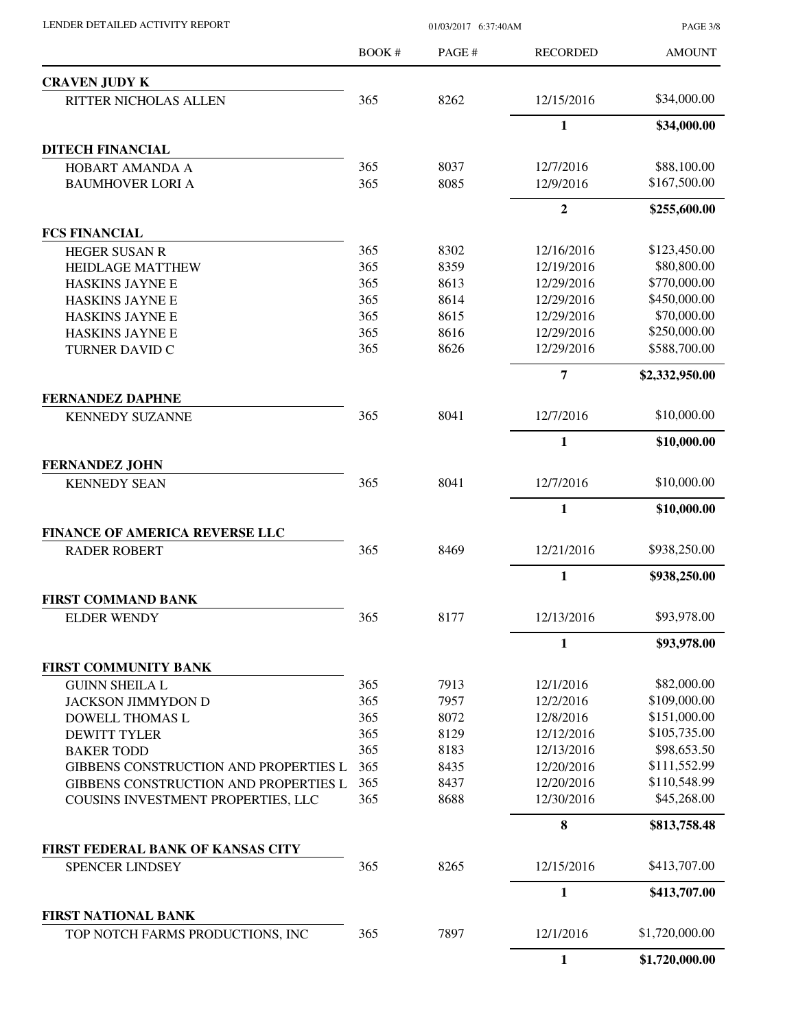PAGE 3/8

|                                              | BOOK# | PAGE # | <b>RECORDED</b>  | <b>AMOUNT</b>  |
|----------------------------------------------|-------|--------|------------------|----------------|
| <b>CRAVEN JUDY K</b>                         |       |        |                  |                |
| RITTER NICHOLAS ALLEN                        | 365   | 8262   | 12/15/2016       | \$34,000.00    |
|                                              |       |        | $\mathbf{1}$     | \$34,000.00    |
| <b>DITECH FINANCIAL</b>                      |       |        |                  |                |
| <b>HOBART AMANDA A</b>                       | 365   | 8037   | 12/7/2016        | \$88,100.00    |
| <b>BAUMHOVER LORI A</b>                      | 365   | 8085   | 12/9/2016        | \$167,500.00   |
|                                              |       |        | $\boldsymbol{2}$ | \$255,600.00   |
| <b>FCS FINANCIAL</b>                         |       |        |                  |                |
| <b>HEGER SUSAN R</b>                         | 365   | 8302   | 12/16/2016       | \$123,450.00   |
| <b>HEIDLAGE MATTHEW</b>                      | 365   | 8359   | 12/19/2016       | \$80,800.00    |
| HASKINS JAYNE E                              | 365   | 8613   | 12/29/2016       | \$770,000.00   |
| HASKINS JAYNE E                              | 365   | 8614   | 12/29/2016       | \$450,000.00   |
| <b>HASKINS JAYNE E</b>                       | 365   | 8615   | 12/29/2016       | \$70,000.00    |
| HASKINS JAYNE E                              | 365   | 8616   | 12/29/2016       | \$250,000.00   |
| <b>TURNER DAVID C</b>                        | 365   | 8626   | 12/29/2016       | \$588,700.00   |
|                                              |       |        | $\overline{7}$   | \$2,332,950.00 |
| <b>FERNANDEZ DAPHNE</b>                      |       |        |                  |                |
| <b>KENNEDY SUZANNE</b>                       | 365   | 8041   | 12/7/2016        | \$10,000.00    |
|                                              |       |        | $\mathbf{1}$     | \$10,000.00    |
| <b>FERNANDEZ JOHN</b>                        |       |        |                  |                |
| <b>KENNEDY SEAN</b>                          | 365   | 8041   | 12/7/2016        | \$10,000.00    |
|                                              |       |        | $\mathbf{1}$     | \$10,000.00    |
| <b>FINANCE OF AMERICA REVERSE LLC</b>        |       |        |                  |                |
| <b>RADER ROBERT</b>                          | 365   | 8469   | 12/21/2016       | \$938,250.00   |
|                                              |       |        | $\mathbf{1}$     | \$938,250.00   |
| <b>FIRST COMMAND BANK</b>                    |       |        |                  |                |
| <b>ELDER WENDY</b>                           | 365   | 8177   | 12/13/2016       | \$93,978.00    |
|                                              |       |        | 1                | \$93,978.00    |
| <b>FIRST COMMUNITY BANK</b>                  |       |        |                  |                |
| <b>GUINN SHEILA L</b>                        | 365   | 7913   | 12/1/2016        | \$82,000.00    |
| <b>JACKSON JIMMYDON D</b>                    | 365   | 7957   | 12/2/2016        | \$109,000.00   |
| DOWELL THOMAS L                              | 365   | 8072   | 12/8/2016        | \$151,000.00   |
| <b>DEWITT TYLER</b>                          | 365   | 8129   | 12/12/2016       | \$105,735.00   |
| <b>BAKER TODD</b>                            | 365   | 8183   | 12/13/2016       | \$98,653.50    |
| <b>GIBBENS CONSTRUCTION AND PROPERTIES L</b> | 365   | 8435   | 12/20/2016       | \$111,552.99   |
| GIBBENS CONSTRUCTION AND PROPERTIES L        | 365   | 8437   | 12/20/2016       | \$110,548.99   |
| COUSINS INVESTMENT PROPERTIES, LLC           | 365   | 8688   | 12/30/2016       | \$45,268.00    |
|                                              |       |        | 8                | \$813,758.48   |
| FIRST FEDERAL BANK OF KANSAS CITY            |       |        |                  |                |
| <b>SPENCER LINDSEY</b>                       | 365   | 8265   | 12/15/2016       | \$413,707.00   |
|                                              |       |        | $\mathbf{1}$     | \$413,707.00   |
| <b>FIRST NATIONAL BANK</b>                   |       |        |                  |                |
| TOP NOTCH FARMS PRODUCTIONS, INC             | 365   | 7897   | 12/1/2016        | \$1,720,000.00 |
|                                              |       |        | $\mathbf{1}$     | \$1,720,000.00 |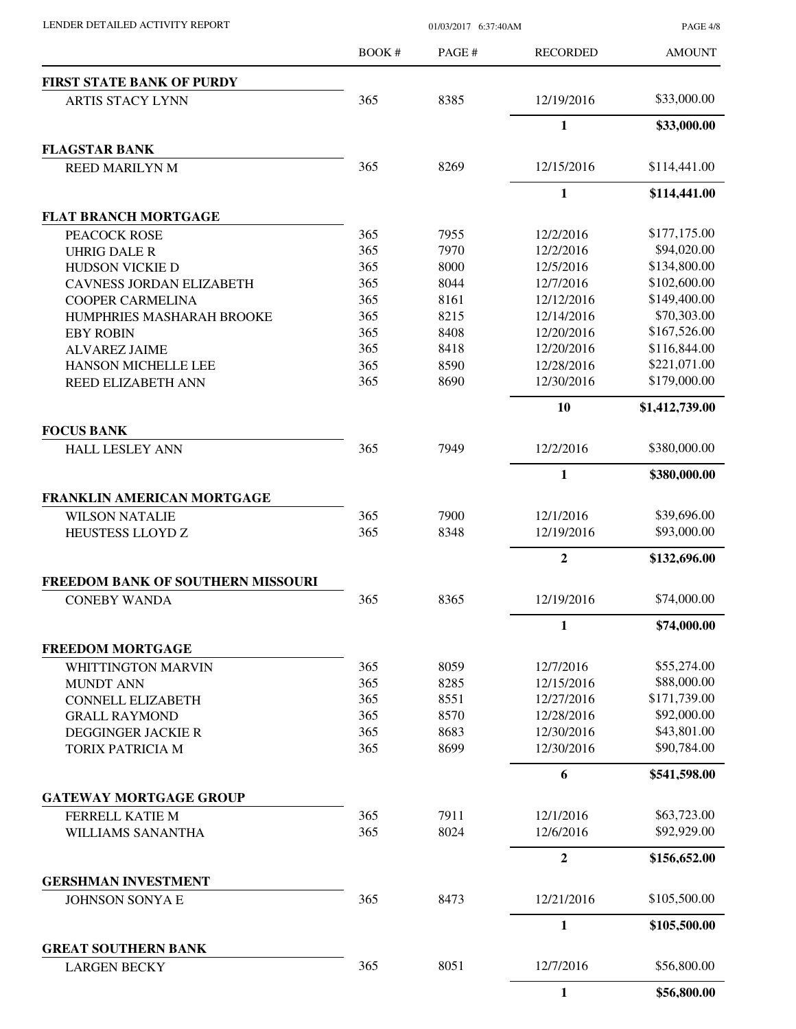PAGE 4/8

|                                             | <b>BOOK#</b> | PAGE # | <b>RECORDED</b> | <b>AMOUNT</b>  |
|---------------------------------------------|--------------|--------|-----------------|----------------|
| <b>FIRST STATE BANK OF PURDY</b>            |              |        |                 |                |
| <b>ARTIS STACY LYNN</b>                     | 365          | 8385   | 12/19/2016      | \$33,000.00    |
|                                             |              |        | $\mathbf{1}$    | \$33,000.00    |
| <b>FLAGSTAR BANK</b>                        |              |        |                 |                |
| <b>REED MARILYN M</b>                       | 365          | 8269   | 12/15/2016      | \$114,441.00   |
|                                             |              |        | 1               | \$114,441.00   |
| <b>FLAT BRANCH MORTGAGE</b>                 |              |        |                 |                |
| PEACOCK ROSE                                | 365          | 7955   | 12/2/2016       | \$177,175.00   |
| <b>UHRIG DALE R</b>                         | 365          | 7970   | 12/2/2016       | \$94,020.00    |
| <b>HUDSON VICKIE D</b>                      | 365          | 8000   | 12/5/2016       | \$134,800.00   |
| <b>CAVNESS JORDAN ELIZABETH</b>             | 365          | 8044   | 12/7/2016       | \$102,600.00   |
| <b>COOPER CARMELINA</b>                     | 365          | 8161   | 12/12/2016      | \$149,400.00   |
| HUMPHRIES MASHARAH BROOKE                   | 365          | 8215   | 12/14/2016      | \$70,303.00    |
| <b>EBY ROBIN</b>                            | 365          | 8408   | 12/20/2016      | \$167,526.00   |
| <b>ALVAREZ JAIME</b>                        | 365          | 8418   | 12/20/2016      | \$116,844.00   |
| <b>HANSON MICHELLE LEE</b>                  | 365          | 8590   | 12/28/2016      | \$221,071.00   |
| <b>REED ELIZABETH ANN</b>                   | 365          | 8690   | 12/30/2016      | \$179,000.00   |
|                                             |              |        | 10              | \$1,412,739.00 |
| <b>FOCUS BANK</b><br><b>HALL LESLEY ANN</b> | 365          | 7949   | 12/2/2016       | \$380,000.00   |
|                                             |              |        | 1               | \$380,000.00   |
| FRANKLIN AMERICAN MORTGAGE                  |              |        |                 |                |
| <b>WILSON NATALIE</b>                       | 365          | 7900   | 12/1/2016       | \$39,696.00    |
| HEUSTESS LLOYD Z                            | 365          | 8348   | 12/19/2016      | \$93,000.00    |
|                                             |              |        | $\mathbf{2}$    | \$132,696.00   |
| <b>FREEDOM BANK OF SOUTHERN MISSOURI</b>    |              |        |                 |                |
| <b>CONEBY WANDA</b>                         | 365          | 8365   | 12/19/2016      | \$74,000.00    |
|                                             |              |        | 1               | \$74,000.00    |
| <b>FREEDOM MORTGAGE</b>                     |              |        |                 |                |
| <b>WHITTINGTON MARVIN</b>                   | 365          | 8059   | 12/7/2016       | \$55,274.00    |
| <b>MUNDT ANN</b>                            | 365          | 8285   | 12/15/2016      | \$88,000.00    |
| <b>CONNELL ELIZABETH</b>                    | 365          | 8551   | 12/27/2016      | \$171,739.00   |
| <b>GRALL RAYMOND</b>                        | 365          | 8570   | 12/28/2016      | \$92,000.00    |
| DEGGINGER JACKIE R                          | 365          | 8683   | 12/30/2016      | \$43,801.00    |
| TORIX PATRICIA M                            | 365          | 8699   | 12/30/2016      | \$90,784.00    |
|                                             |              |        | 6               | \$541,598.00   |
| <b>GATEWAY MORTGAGE GROUP</b>               |              |        |                 |                |
| FERRELL KATIE M                             | 365          | 7911   | 12/1/2016       | \$63,723.00    |
| WILLIAMS SANANTHA                           | 365          | 8024   | 12/6/2016       | \$92,929.00    |
|                                             |              |        | $\mathbf{2}$    | \$156,652.00   |
| <b>GERSHMAN INVESTMENT</b>                  | 365          | 8473   | 12/21/2016      | \$105,500.00   |
| JOHNSON SONYA E                             |              |        | 1               | \$105,500.00   |
| <b>GREAT SOUTHERN BANK</b>                  |              |        |                 |                |
| <b>LARGEN BECKY</b>                         | 365          | 8051   | 12/7/2016       | \$56,800.00    |
|                                             |              |        | $\mathbf{1}$    | \$56,800.00    |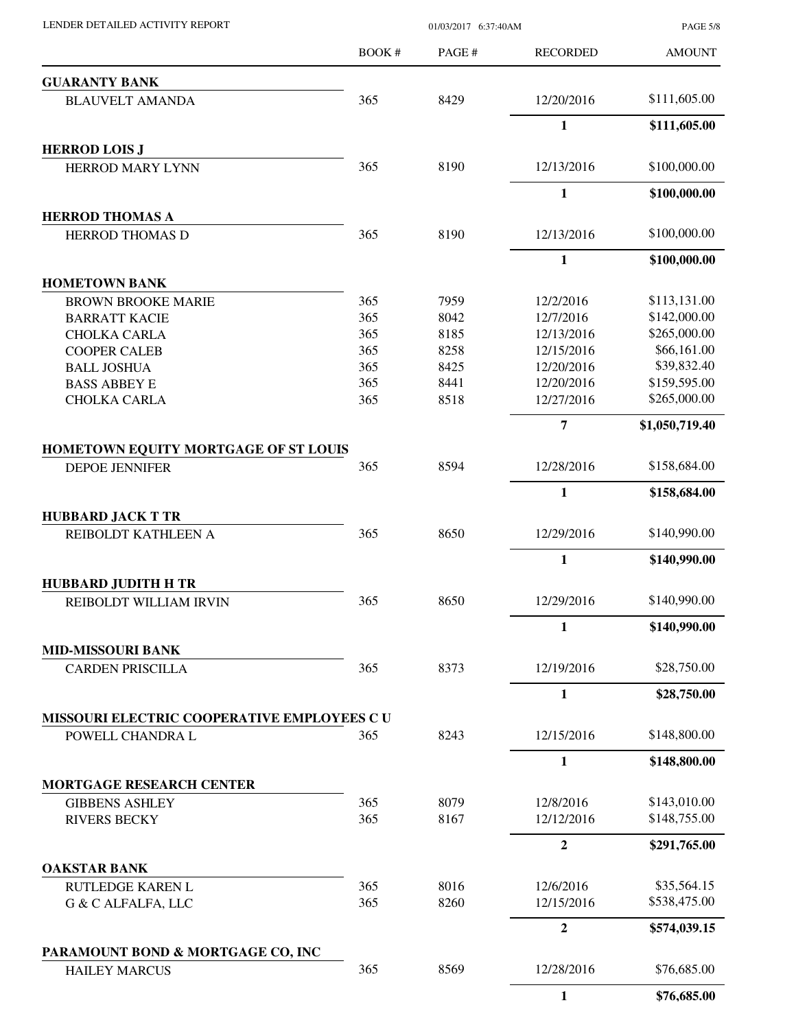|                                            | BOOK # | PAGE # | <b>RECORDED</b>  | <b>AMOUNT</b>  |
|--------------------------------------------|--------|--------|------------------|----------------|
| <b>GUARANTY BANK</b>                       |        |        |                  |                |
| <b>BLAUVELT AMANDA</b>                     | 365    | 8429   | 12/20/2016       | \$111,605.00   |
|                                            |        |        | $\mathbf{1}$     | \$111,605.00   |
| <b>HERROD LOIS J</b>                       |        |        |                  |                |
| <b>HERROD MARY LYNN</b>                    | 365    | 8190   | 12/13/2016       | \$100,000.00   |
|                                            |        |        | $\mathbf{1}$     | \$100,000.00   |
| <b>HERROD THOMAS A</b>                     |        |        |                  |                |
| <b>HERROD THOMAS D</b>                     | 365    | 8190   | 12/13/2016       | \$100,000.00   |
|                                            |        |        | $\mathbf{1}$     | \$100,000.00   |
| <b>HOMETOWN BANK</b>                       |        |        |                  |                |
| <b>BROWN BROOKE MARIE</b>                  | 365    | 7959   | 12/2/2016        | \$113,131.00   |
| <b>BARRATT KACIE</b>                       | 365    | 8042   | 12/7/2016        | \$142,000.00   |
| <b>CHOLKA CARLA</b>                        | 365    | 8185   | 12/13/2016       | \$265,000.00   |
| <b>COOPER CALEB</b>                        | 365    | 8258   | 12/15/2016       | \$66,161.00    |
| <b>BALL JOSHUA</b>                         | 365    | 8425   | 12/20/2016       | \$39,832.40    |
| <b>BASS ABBEY E</b>                        | 365    | 8441   | 12/20/2016       | \$159,595.00   |
| <b>CHOLKA CARLA</b>                        | 365    | 8518   | 12/27/2016       | \$265,000.00   |
|                                            |        |        | 7                | \$1,050,719.40 |
| HOMETOWN EQUITY MORTGAGE OF ST LOUIS       |        |        |                  |                |
| <b>DEPOE JENNIFER</b>                      | 365    | 8594   | 12/28/2016       | \$158,684.00   |
|                                            |        |        | $\mathbf{1}$     | \$158,684.00   |
| <b>HUBBARD JACK T TR</b>                   |        |        |                  |                |
| REIBOLDT KATHLEEN A                        | 365    | 8650   | 12/29/2016       | \$140,990.00   |
|                                            |        |        | $\mathbf{1}$     | \$140,990.00   |
| <b>HUBBARD JUDITH H TR</b>                 |        |        |                  |                |
| REIBOLDT WILLIAM IRVIN                     | 365    | 8650   | 12/29/2016       | \$140,990.00   |
|                                            |        |        | 1                | \$140,990.00   |
| <b>MID-MISSOURI BANK</b>                   |        |        |                  |                |
| <b>CARDEN PRISCILLA</b>                    | 365    | 8373   | 12/19/2016       | \$28,750.00    |
|                                            |        |        | $\mathbf{1}$     | \$28,750.00    |
| MISSOURI ELECTRIC COOPERATIVE EMPLOYEES CU |        |        |                  | \$148,800.00   |
| POWELL CHANDRA L                           | 365    | 8243   | 12/15/2016       |                |
| <b>MORTGAGE RESEARCH CENTER</b>            |        |        | $\mathbf{1}$     | \$148,800.00   |
|                                            |        |        |                  |                |
| <b>GIBBENS ASHLEY</b>                      | 365    | 8079   | 12/8/2016        | \$143,010.00   |
| <b>RIVERS BECKY</b>                        | 365    | 8167   | 12/12/2016       | \$148,755.00   |
|                                            |        |        | $\mathbf{2}$     | \$291,765.00   |
| <b>OAKSTAR BANK</b>                        |        |        |                  |                |
| <b>RUTLEDGE KAREN L</b>                    | 365    | 8016   | 12/6/2016        | \$35,564.15    |
| G & C ALFALFA, LLC                         | 365    | 8260   | 12/15/2016       | \$538,475.00   |
|                                            |        |        | $\boldsymbol{2}$ | \$574,039.15   |
| PARAMOUNT BOND & MORTGAGE CO, INC          |        |        |                  |                |
| <b>HAILEY MARCUS</b>                       | 365    | 8569   | 12/28/2016       | \$76,685.00    |
|                                            |        |        | $\mathbf{1}$     | \$76,685.00    |

PAGE 5/8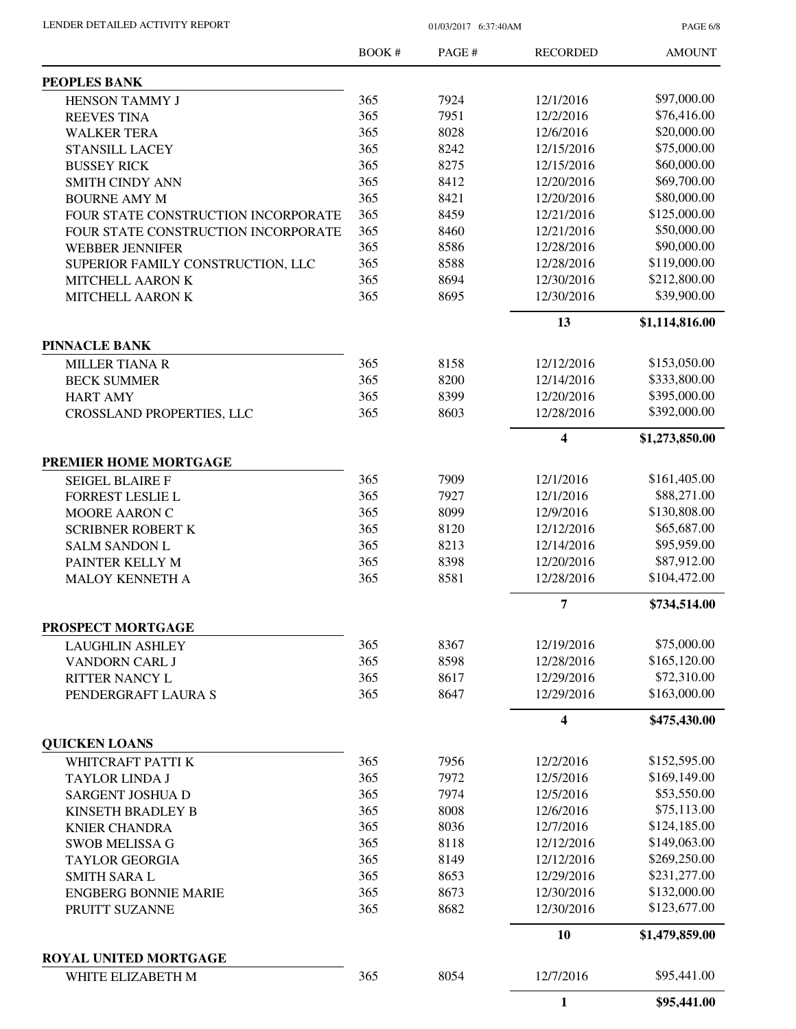PAGE 6/8

|                                               | BOOK#      | PAGE #       | <b>RECORDED</b>          | <b>AMOUNT</b>                |
|-----------------------------------------------|------------|--------------|--------------------------|------------------------------|
| PEOPLES BANK                                  |            |              |                          |                              |
| <b>HENSON TAMMY J</b>                         | 365        | 7924         | 12/1/2016                | \$97,000.00                  |
| <b>REEVES TINA</b>                            | 365        | 7951         | 12/2/2016                | \$76,416.00                  |
| <b>WALKER TERA</b>                            | 365        | 8028         | 12/6/2016                | \$20,000.00                  |
| <b>STANSILL LACEY</b>                         | 365        | 8242         | 12/15/2016               | \$75,000.00                  |
| <b>BUSSEY RICK</b>                            | 365        | 8275         | 12/15/2016               | \$60,000.00                  |
| <b>SMITH CINDY ANN</b>                        | 365        | 8412         | 12/20/2016               | \$69,700.00                  |
| <b>BOURNE AMY M</b>                           | 365        | 8421         | 12/20/2016               | \$80,000.00                  |
| FOUR STATE CONSTRUCTION INCORPORATE           | 365        | 8459         | 12/21/2016               | \$125,000.00                 |
| FOUR STATE CONSTRUCTION INCORPORATE           | 365        | 8460         | 12/21/2016               | \$50,000.00                  |
| <b>WEBBER JENNIFER</b>                        | 365        | 8586         | 12/28/2016               | \$90,000.00                  |
| SUPERIOR FAMILY CONSTRUCTION, LLC             | 365        | 8588         | 12/28/2016               | \$119,000.00                 |
| MITCHELL AARON K                              | 365        | 8694         | 12/30/2016               | \$212,800.00                 |
| MITCHELL AARON K                              | 365        | 8695         | 12/30/2016               | \$39,900.00                  |
|                                               |            |              | 13                       | \$1,114,816.00               |
| <b>PINNACLE BANK</b>                          |            |              |                          |                              |
| <b>MILLER TIANA R</b>                         | 365        | 8158         | 12/12/2016               | \$153,050.00                 |
| <b>BECK SUMMER</b>                            | 365        | 8200         | 12/14/2016               | \$333,800.00                 |
| <b>HART AMY</b>                               | 365        | 8399         | 12/20/2016               | \$395,000.00                 |
| <b>CROSSLAND PROPERTIES, LLC</b>              | 365        | 8603         | 12/28/2016               | \$392,000.00                 |
|                                               |            |              | 4                        | \$1,273,850.00               |
| PREMIER HOME MORTGAGE                         |            |              |                          |                              |
| <b>SEIGEL BLAIRE F</b>                        | 365        | 7909         | 12/1/2016                | \$161,405.00                 |
| FORREST LESLIE L                              | 365        | 7927         | 12/1/2016                | \$88,271.00                  |
| MOORE AARON C                                 | 365        | 8099         | 12/9/2016                | \$130,808.00                 |
| <b>SCRIBNER ROBERT K</b>                      | 365        | 8120         | 12/12/2016               | \$65,687.00                  |
| <b>SALM SANDON L</b>                          | 365        | 8213         | 12/14/2016               | \$95,959.00                  |
| PAINTER KELLY M                               | 365        | 8398         | 12/20/2016               | \$87,912.00                  |
| <b>MALOY KENNETH A</b>                        | 365        | 8581         | 12/28/2016               | \$104,472.00                 |
|                                               |            |              | 7                        | \$734,514.00                 |
| PROSPECT MORTGAGE                             |            |              |                          |                              |
| <b>LAUGHLIN ASHLEY</b>                        | 365        | 8367         | 12/19/2016               | \$75,000.00                  |
| VANDORN CARL J                                | 365        | 8598         | 12/28/2016               | \$165,120.00                 |
| <b>RITTER NANCY L</b>                         | 365        | 8617         | 12/29/2016               | \$72,310.00                  |
| PENDERGRAFT LAURA S                           | 365        | 8647         | 12/29/2016               | \$163,000.00                 |
|                                               |            |              | 4                        | \$475,430.00                 |
| <b>QUICKEN LOANS</b><br>WHITCRAFT PATTI K     | 365        | 7956         | 12/2/2016                | \$152,595.00                 |
| <b>TAYLOR LINDA J</b>                         | 365        | 7972         | 12/5/2016                | \$169,149.00                 |
|                                               | 365        | 7974         | 12/5/2016                | \$53,550.00                  |
| SARGENT JOSHUA D<br>KINSETH BRADLEY B         | 365        | 8008         | 12/6/2016                | \$75,113.00                  |
|                                               | 365        |              |                          | \$124,185.00                 |
| <b>KNIER CHANDRA</b>                          |            | 8036         | 12/7/2016                |                              |
| <b>SWOB MELISSA G</b>                         | 365        | 8118         | 12/12/2016               | \$149,063.00                 |
| <b>TAYLOR GEORGIA</b>                         | 365        | 8149         | 12/12/2016               | \$269,250.00                 |
| <b>SMITH SARA L</b>                           | 365        | 8653         | 12/29/2016               | \$231,277.00                 |
| <b>ENGBERG BONNIE MARIE</b><br>PRUITT SUZANNE | 365<br>365 | 8673<br>8682 | 12/30/2016<br>12/30/2016 | \$132,000.00<br>\$123,677.00 |
|                                               |            |              | 10                       | \$1,479,859.00               |
| ROYAL UNITED MORTGAGE                         |            |              |                          |                              |
| WHITE ELIZABETH M                             | 365        | 8054         | 12/7/2016                | \$95,441.00                  |
|                                               |            |              | 1                        | \$95,441.00                  |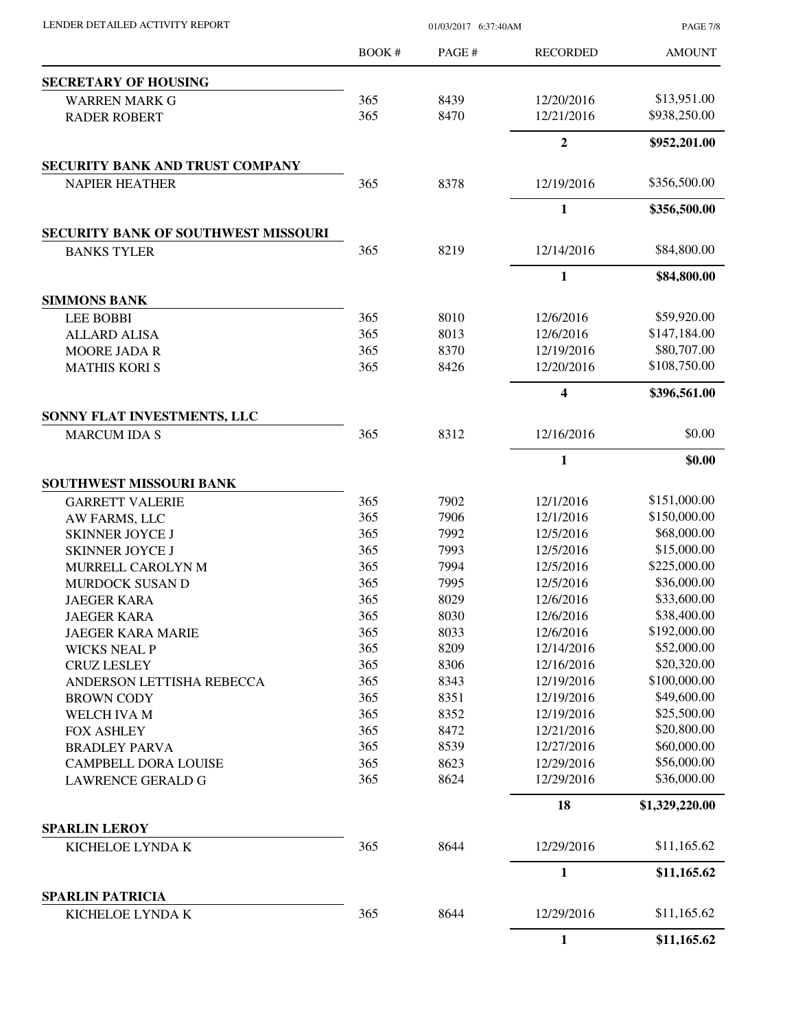| LENDER DETAILED ACTIVITY REPORT            | 01/03/2017 6:37:40AM |              |                          | <b>PAGE 7/8</b>             |
|--------------------------------------------|----------------------|--------------|--------------------------|-----------------------------|
|                                            | <b>BOOK#</b>         | PAGE #       | <b>RECORDED</b>          | <b>AMOUNT</b>               |
| <b>SECRETARY OF HOUSING</b>                |                      |              |                          |                             |
| <b>WARREN MARK G</b>                       | 365                  | 8439         | 12/20/2016               | \$13,951.00                 |
| <b>RADER ROBERT</b>                        | 365                  | 8470         | 12/21/2016               | \$938,250.00                |
|                                            |                      |              | $\mathbf{2}$             | \$952,201.00                |
| SECURITY BANK AND TRUST COMPANY            |                      |              |                          |                             |
| <b>NAPIER HEATHER</b>                      | 365                  | 8378         | 12/19/2016               | \$356,500.00                |
|                                            |                      |              | $\mathbf{1}$             | \$356,500.00                |
| <b>SECURITY BANK OF SOUTHWEST MISSOURI</b> |                      |              |                          |                             |
| <b>BANKS TYLER</b>                         | 365                  | 8219         | 12/14/2016               | \$84,800.00                 |
|                                            |                      |              | 1                        | \$84,800.00                 |
| <b>SIMMONS BANK</b>                        |                      |              |                          |                             |
| <b>LEE BOBBI</b>                           | 365                  | 8010         | 12/6/2016                | \$59,920.00                 |
| <b>ALLARD ALISA</b>                        | 365                  | 8013         | 12/6/2016                | \$147,184.00                |
| <b>MOORE JADA R</b>                        | 365                  | 8370         | 12/19/2016               | \$80,707.00                 |
| <b>MATHIS KORI S</b>                       | 365                  | 8426         | 12/20/2016               | \$108,750.00                |
|                                            |                      |              | 4                        | \$396,561.00                |
| SONNY FLAT INVESTMENTS, LLC                |                      |              |                          |                             |
| <b>MARCUM IDA S</b>                        | 365                  | 8312         | 12/16/2016               | \$0.00                      |
|                                            |                      |              | $\mathbf{1}$             | \$0.00                      |
| SOUTHWEST MISSOURI BANK                    |                      |              |                          |                             |
| <b>GARRETT VALERIE</b>                     | 365                  | 7902         | 12/1/2016                | \$151,000.00                |
| AW FARMS, LLC                              | 365                  | 7906         | 12/1/2016                | \$150,000.00                |
| <b>SKINNER JOYCE J</b>                     | 365                  | 7992         | 12/5/2016                | \$68,000.00                 |
| <b>SKINNER JOYCE J</b>                     | 365                  | 7993         | 12/5/2016                | \$15,000.00<br>\$225,000.00 |
| MURRELL CAROLYN M                          | 365                  | 7994         | 12/5/2016<br>12/5/2016   | \$36,000.00                 |
| MURDOCK SUSAN D                            | 365                  | 7995         |                          |                             |
| <b>JAEGER KARA</b>                         | 365                  | 8029         | 12/6/2016                | \$33,600.00                 |
| <b>JAEGER KARA</b>                         | 365                  | 8030         | 12/6/2016<br>12/6/2016   | \$38,400.00<br>\$192,000.00 |
| <b>JAEGER KARA MARIE</b>                   | 365                  | 8033         |                          | \$52,000.00                 |
| <b>WICKS NEAL P</b>                        | 365                  | 8209         | 12/14/2016               | \$20,320.00                 |
| <b>CRUZ LESLEY</b>                         | 365<br>365           | 8306<br>8343 | 12/16/2016               | \$100,000.00                |
| ANDERSON LETTISHA REBECCA                  | 365                  |              | 12/19/2016               | \$49,600.00                 |
| <b>BROWN CODY</b>                          | 365                  | 8351<br>8352 | 12/19/2016<br>12/19/2016 | \$25,500.00                 |
| WELCH IVA M                                | 365                  | 8472         |                          | \$20,800.00                 |
| <b>FOX ASHLEY</b>                          | 365                  | 8539         | 12/21/2016               | \$60,000.00                 |
| <b>BRADLEY PARVA</b>                       |                      |              | 12/27/2016<br>12/29/2016 | \$56,000.00                 |
| <b>CAMPBELL DORA LOUISE</b>                | 365<br>365           | 8623<br>8624 | 12/29/2016               | \$36,000.00                 |
| <b>LAWRENCE GERALD G</b>                   |                      |              |                          |                             |
|                                            |                      |              | 18                       | \$1,329,220.00              |
| <b>SPARLIN LEROY</b><br>KICHELOE LYNDA K   | 365                  | 8644         | 12/29/2016               | \$11,165.62                 |
|                                            |                      |              | $\mathbf{1}$             | \$11,165.62                 |
| <b>SPARLIN PATRICIA</b>                    |                      |              |                          |                             |
| KICHELOE LYNDA K                           | 365                  | 8644         | 12/29/2016               | \$11,165.62                 |
|                                            |                      |              | $\mathbf{1}$             | \$11,165.62                 |